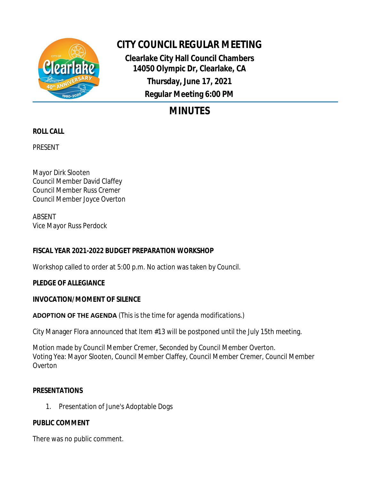

# **CITY COUNCIL REGULAR MEETING**

**Clearlake City Hall Council Chambers 14050 Olympic Dr, Clearlake, CA Thursday, June 17, 2021 Regular Meeting 6:00 PM**

# **MINUTES**

# **ROLL CALL**

PRESENT

Mayor Dirk Slooten Council Member David Claffey Council Member Russ Cremer Council Member Joyce Overton

ABSENT Vice Mayor Russ Perdock

# **FISCAL YEAR 2021-2022 BUDGET PREPARATION WORKSHOP**

Workshop called to order at 5:00 p.m. No action was taken by Council.

## **PLEDGE OF ALLEGIANCE**

## **INVOCATION/MOMENT OF SILENCE**

## **ADOPTION OF THE AGENDA** *(This is the time for agenda modifications.)*

City Manager Flora announced that Item #13 will be postponed until the July 15th meeting.

Motion made by Council Member Cremer, Seconded by Council Member Overton. Voting Yea: Mayor Slooten, Council Member Claffey, Council Member Cremer, Council Member **Overton** 

## **PRESENTATIONS**

1. Presentation of June's Adoptable Dogs

# **PUBLIC COMMENT**

There was no public comment.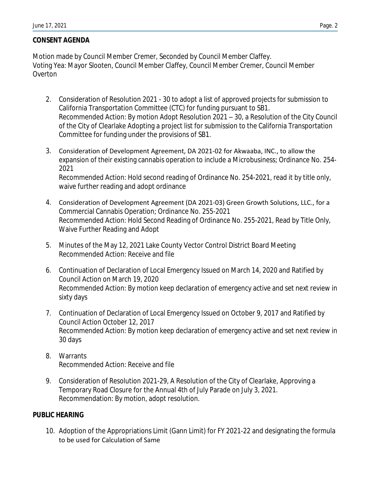## **CONSENT AGENDA**

Motion made by Council Member Cremer, Seconded by Council Member Claffey. Voting Yea: Mayor Slooten, Council Member Claffey, Council Member Cremer, Council Member **Overton** 

- 2. Consideration of Resolution 2021 30 to adopt a list of approved projects for submission to California Transportation Committee (CTC) for funding pursuant to SB1. Recommended Action: By motion Adopt Resolution 2021 – 30, a Resolution of the City Council of the City of Clearlake Adopting a project list for submission to the California Transportation Committee for funding under the provisions of SB1.
- 3. Consideration of Development Agreement, DA 2021-02 for Akwaaba, INC., to allow the expansion of their existing cannabis operation to include a Microbusiness; Ordinance No. 254- 2021

Recommended Action: Hold second reading of Ordinance No. 254-2021, read it by title only, waive further reading and adopt ordinance

- 4. Consideration of Development Agreement (DA 2021-03) Green Growth Solutions, LLC., for a Commercial Cannabis Operation; Ordinance No. 255-2021 Recommended Action: Hold Second Reading of Ordinance No. 255-2021, Read by Title Only, Waive Further Reading and Adopt
- 5. Minutes of the May 12, 2021 Lake County Vector Control District Board Meeting Recommended Action: Receive and file
- 6. Continuation of Declaration of Local Emergency Issued on March 14, 2020 and Ratified by Council Action on March 19, 2020 Recommended Action: By motion keep declaration of emergency active and set next review in sixty days
- 7. Continuation of Declaration of Local Emergency Issued on October 9, 2017 and Ratified by Council Action October 12, 2017 Recommended Action: By motion keep declaration of emergency active and set next review in 30 days
- 8. Warrants Recommended Action: Receive and file
- 9. Consideration of Resolution 2021-29, A Resolution of the City of Clearlake, Approving a Temporary Road Closure for the Annual 4th of July Parade on July 3, 2021. Recommendation: By motion, adopt resolution.

### **PUBLIC HEARING**

10. Adoption of the Appropriations Limit (Gann Limit) for FY 2021-22 and designating the formula to be used for Calculation of Same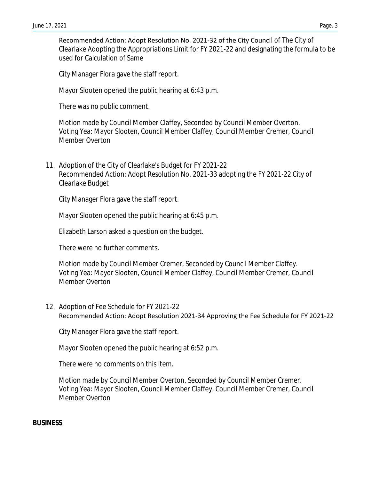Recommended Action: Adopt Resolution No. 2021-32 of the City Council of The City of Clearlake Adopting the Appropriations Limit for FY 2021-22 and designating the formula to be used for Calculation of Same

City Manager Flora gave the staff report.

Mayor Slooten opened the public hearing at 6:43 p.m.

There was no public comment.

Motion made by Council Member Claffey, Seconded by Council Member Overton. Voting Yea: Mayor Slooten, Council Member Claffey, Council Member Cremer, Council Member Overton

11. Adoption of the City of Clearlake's Budget for FY 2021-22 Recommended Action: Adopt Resolution No. 2021-33 adopting the FY 2021-22 City of Clearlake Budget

City Manager Flora gave the staff report.

Mayor Slooten opened the public hearing at 6:45 p.m.

Elizabeth Larson asked a question on the budget.

There were no further comments.

Motion made by Council Member Cremer, Seconded by Council Member Claffey. Voting Yea: Mayor Slooten, Council Member Claffey, Council Member Cremer, Council Member Overton

12. Adoption of Fee Schedule for FY 2021-22 Recommended Action: Adopt Resolution 2021-34 Approving the Fee Schedule for FY 2021-22

City Manager Flora gave the staff report.

Mayor Slooten opened the public hearing at 6:52 p.m.

There were no comments on this item.

Motion made by Council Member Overton, Seconded by Council Member Cremer. Voting Yea: Mayor Slooten, Council Member Claffey, Council Member Cremer, Council Member Overton

#### **BUSINESS**